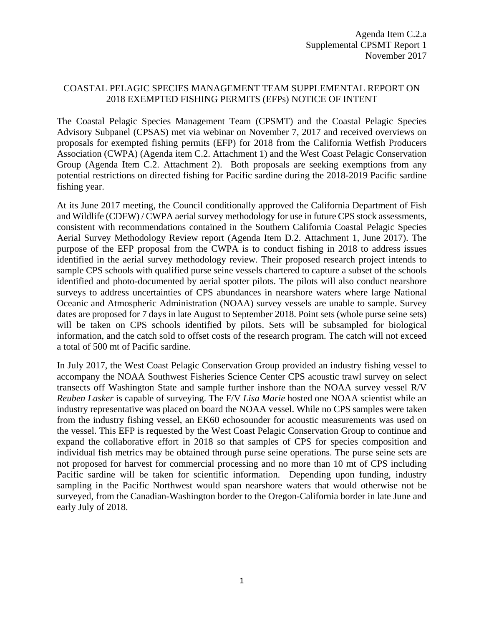## COASTAL PELAGIC SPECIES MANAGEMENT TEAM SUPPLEMENTAL REPORT ON 2018 EXEMPTED FISHING PERMITS (EFPs) NOTICE OF INTENT

The Coastal Pelagic Species Management Team (CPSMT) and the Coastal Pelagic Species Advisory Subpanel (CPSAS) met via webinar on November 7, 2017 and received overviews on proposals for exempted fishing permits (EFP) for 2018 from the California Wetfish Producers Association (CWPA) (Agenda item C.2. Attachment 1) and the West Coast Pelagic Conservation Group (Agenda Item C.2. Attachment 2). Both proposals are seeking exemptions from any potential restrictions on directed fishing for Pacific sardine during the 2018-2019 Pacific sardine fishing year.

At its June 2017 meeting, the Council conditionally approved the California Department of Fish and Wildlife (CDFW) / CWPA aerial survey methodology for use in future CPS stock assessments, consistent with recommendations contained in the Southern California Coastal Pelagic Species Aerial Survey Methodology Review report (Agenda Item D.2. Attachment 1, June 2017). The purpose of the EFP proposal from the CWPA is to conduct fishing in 2018 to address issues identified in the aerial survey methodology review. Their proposed research project intends to sample CPS schools with qualified purse seine vessels chartered to capture a subset of the schools identified and photo-documented by aerial spotter pilots. The pilots will also conduct nearshore surveys to address uncertainties of CPS abundances in nearshore waters where large National Oceanic and Atmospheric Administration (NOAA) survey vessels are unable to sample. Survey dates are proposed for 7 days in late August to September 2018. Point sets (whole purse seine sets) will be taken on CPS schools identified by pilots. Sets will be subsampled for biological information, and the catch sold to offset costs of the research program. The catch will not exceed a total of 500 mt of Pacific sardine.

In July 2017, the West Coast Pelagic Conservation Group provided an industry fishing vessel to accompany the NOAA Southwest Fisheries Science Center CPS acoustic trawl survey on select transects off Washington State and sample further inshore than the NOAA survey vessel R/V *Reuben Lasker* is capable of surveying. The F/V *Lisa Marie* hosted one NOAA scientist while an industry representative was placed on board the NOAA vessel. While no CPS samples were taken from the industry fishing vessel, an EK60 echosounder for acoustic measurements was used on the vessel. This EFP is requested by the West Coast Pelagic Conservation Group to continue and expand the collaborative effort in 2018 so that samples of CPS for species composition and individual fish metrics may be obtained through purse seine operations. The purse seine sets are not proposed for harvest for commercial processing and no more than 10 mt of CPS including Pacific sardine will be taken for scientific information. Depending upon funding, industry sampling in the Pacific Northwest would span nearshore waters that would otherwise not be surveyed, from the Canadian-Washington border to the Oregon-California border in late June and early July of 2018.